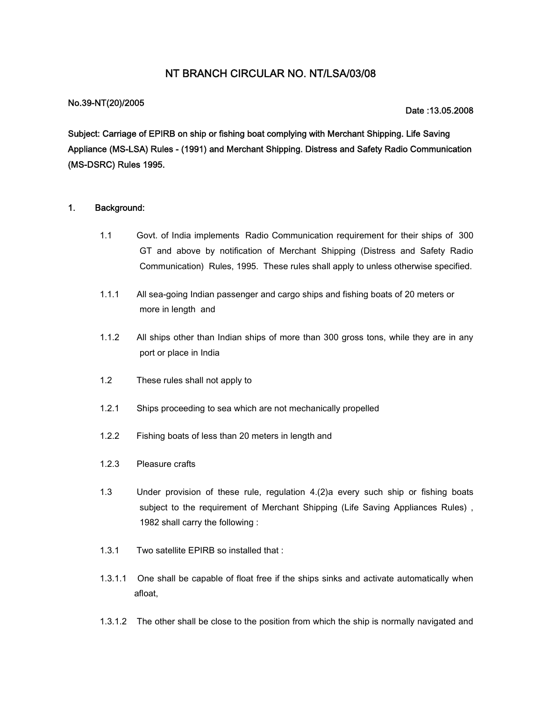## **NT BRANCH CIRCULAR NO. NT/LSA/03/08**

### **No.39-NT(20)/2005**

#### **Date :13.05.2008**

**Subject: Carriage of EPIRB on ship or fishing boat complying with Merchant Shipping. Life Saving Appliance (MS-LSA) Rules - (1991) and Merchant Shipping. Distress and Safety Radio Communication (MS-DSRC) Rules 1995.**

#### **1. Background:**

- 1.1 Govt. of India implements Radio Communication requirement for their ships of 300 GT and above by notification of Merchant Shipping (Distress and Safety Radio Communication) Rules, 1995. These rules shall apply to unless otherwise specified.
- 1.1.1 All sea-going Indian passenger and cargo ships and fishing boats of 20 meters or more in length and
- 1.1.2 All ships other than Indian ships of more than 300 gross tons, while they are in any port or place in India
- 1.2 These rules shall not apply to
- 1.2.1 Ships proceeding to sea which are not mechanically propelled
- 1.2.2 Fishing boats of less than 20 meters in length and
- 1.2.3 Pleasure crafts
- 1.3 Under provision of these rule, regulation 4.(2)a every such ship or fishing boats subject to the requirement of Merchant Shipping (Life Saving Appliances Rules) , 1982 shall carry the following :
- 1.3.1 Two satellite EPIRB so installed that :
- 1.3.1.1 One shall be capable of float free if the ships sinks and activate automatically when afloat,
- 1.3.1.2 The other shall be close to the position from which the ship is normally navigated and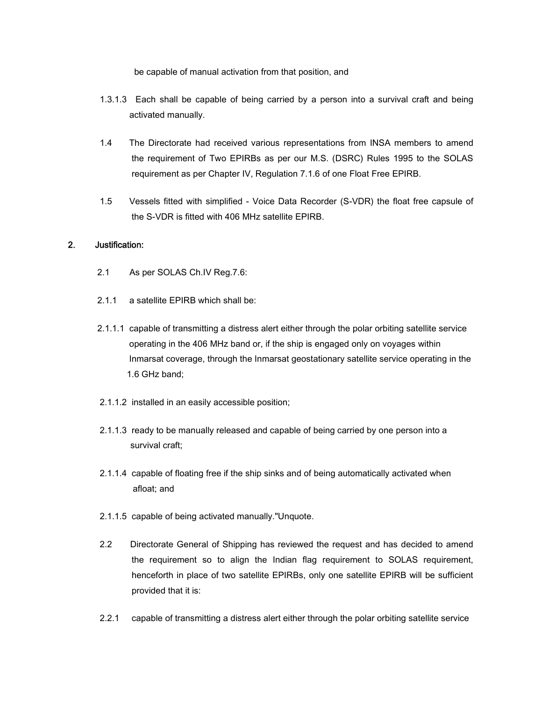be capable of manual activation from that position, and

- 1.3.1.3 Each shall be capable of being carried by a person into a survival craft and being activated manually.
- 1.4 The Directorate had received various representations from INSA members to amend the requirement of Two EPIRBs as per our M.S. (DSRC) Rules 1995 to the SOLAS requirement as per Chapter IV, Regulation 7.1.6 of one Float Free EPIRB.
- 1.5 Vessels fitted with simplified Voice Data Recorder (S-VDR) the float free capsule of the S-VDR is fitted with 406 MHz satellite EPIRB.

### **2. Justification:**

- 2.1 As per SOLAS Ch.IV Reg.7.6:
- 2.1.1 a satellite EPIRB which shall be:
- 2.1.1.1 capable of transmitting a distress alert either through the polar orbiting satellite service operating in the 406 MHz band or, if the ship is engaged only on voyages within Inmarsat coverage, through the Inmarsat geostationary satellite service operating in the 1.6 GHz band;
- 2.1.1.2 installed in an easily accessible position;
- 2.1.1.3 ready to be manually released and capable of being carried by one person into a survival craft;
- 2.1.1.4 capable of floating free if the ship sinks and of being automatically activated when afloat; and
- 2.1.1.5 capable of being activated manually."Unquote.
- 2.2 Directorate General of Shipping has reviewed the request and has decided to amend the requirement so to align the Indian flag requirement to SOLAS requirement, henceforth in place of two satellite EPIRBs, only one satellite EPIRB will be sufficient provided that it is:
- 2.2.1 capable of transmitting a distress alert either through the polar orbiting satellite service